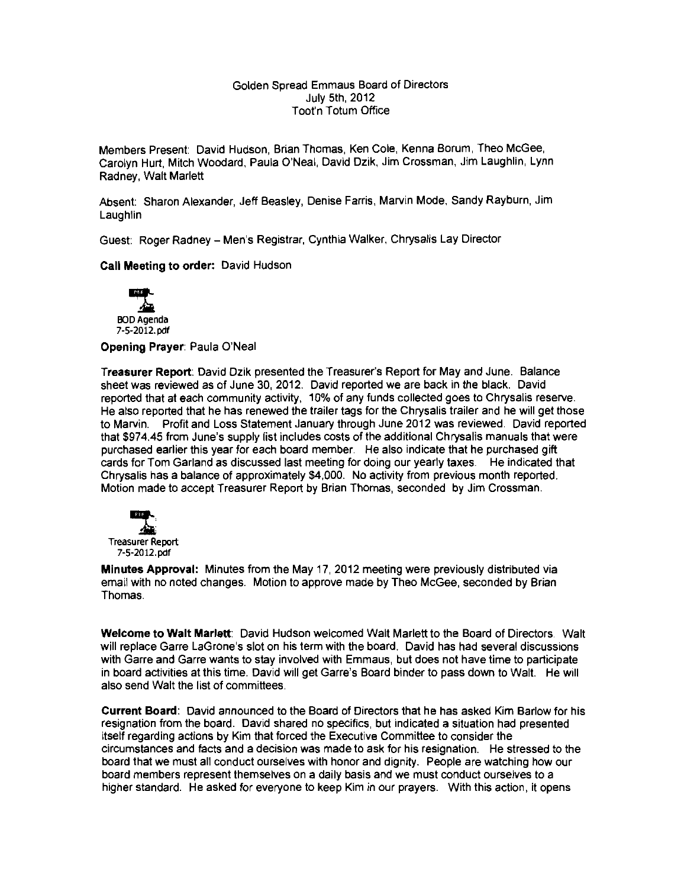#### Golden Spread Emmaus Board of Directors July 5th, 2012 Toot'n Totum Office

Members Present: David Hudson, Brian Thomas, Ken Cole, Kenna Borum, Theo McGee, Carolyn Hurt, Mitch Woodard, Paula O'Neal, David Dzik, Jim Crossman, Jim Laughlin, Lynn Radney, Walt Marlett

Absent: Sharon Alexander, Jeff Beasley, Denise Farris, Marvin Mode, Sandy Rayburn, Jim **Laughlin** 

Guest: Roger Radney - Men's Registrar, Cynthia Walker, Chrysalis Lay Director

**Call Meeting to order:** David Hudson



**Opening Prayer:** Paula O'Neal

**Treasurer Report:** David Dzik presented the Treasurer's Report for May and June. Balance sheet was reviewed as of June 30, 2012. David reported we are back in the black. David reported that at each community activity, 10% of any funds collected goes to Chrysalis reserve. He also reported that he has renewed the trailer tags for the Chrysalis trailer and he will get those to Marvin. Profit and Loss Statement January through June 2012 was reviewed. David reported that \$974.45 from June's supply list includes costs of the additional Chrysalis manuals that were purchased earlier this year for each board member. He also indicate that he purchased gift cards for Tom Garland as discussed last meeting for doing our yearly taxes. He indicated that Chrysalis has a balance of approximately \$4,000. No activity from previous month reported. Motion made to accept Treasurer Report by Brian Thomas, seconded by Jim Crossman.



**Minutes Approval:** Minutes from the May 17, 2012 meeting were previously distributed via email with no noted changes. Motion to approve made by Theo McGee, seconded by Brian Thomas.

**Welcome to Walt Marlett:** David Hudson welcomed Walt Marlett to the Board of Directors. Walt will replace Garre LaGrone's slot on his term with the board. David has had several discussions with Garre and Garre wants to stay involved with Emmaus, but does not have time to participate in board activities at this time. David will get Garre's Board binder to pass down to Walt. He will also send Walt the list of committees.

**Current Board:** David announced to the Board of Directors that he has asked Kim Barlow for his resignation from the board. David shared no specifics, but indicated a situation had presented itself regarding actions by Kim that forced the Executive Committee to consider the circumstances and facts and a decision was made to ask for his resignation. He stressed to the board that we must all conduct ourselves with honor and dignity. People are watching how our board members represent themselves on a daily basis and we must conduct ourselves to a higher standard. He asked for everyone to keep Kim in our prayers. With this action, it opens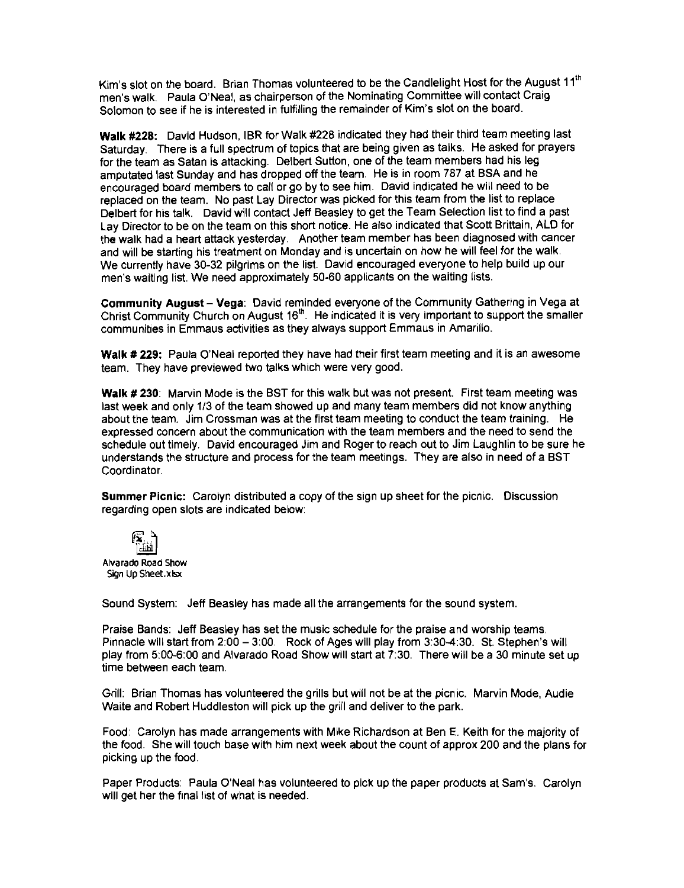Kim's slot on the board. Brian Thomas volunteered to be the Candlelight Host for the August 11<sup>th</sup> men's walk. Paula O'Neal, as chairperson of the Nominating Committee will contact Craig Solomon to see if he is interested in fulfilling the remainder of Kim's slot on the board.

**Walk #228:** David HUdson, IBR for Walk #228 indicated they had their third team meeting last Saturday. There is a full spectrum of topics that are being given as talks. He asked for prayers for the team as Satan is attacking. Delbert Sutton, one of the team members had his leg amputated last Sunday and has dropped off the team. He is in room 787 at BSA and he encouraged board members to call or go by to see him. David indicated he will need to be replaced on the team. No past Lay Director was picked for this team from the list to replace Delbert for his talk. David will contact Jeff Beasley to get the Team Selection list to find a past Lay Director to be on the team on this short notice. He also indicated that Scott Brittain, ALD for the walk had a heart attack yesterday. Another team member has been diagnosed with cancer and will be starting his treatment on Monday and is uncertain on how he will feel for the walk. We currently have 30-32 pilgrims on the list. David encouraged everyone to help build up our men's waiting list. We need approximately 50-60 applicants on the waiting lists.

**Community August - Vega:** David reminded everyone of the Community Gathering in Vega at Christ Community Church on August 16<sup>th</sup>. He indicated it is very important to support the smaller communities in Emmaus activities as they always support Emmaus in Amarillo.

**Walk # 229:** PaUla O'Neal reported they have had their first team meeting and it is an awesome team. They have preViewed two talks which were very good.

**Walk # 230:** Marvin Mode is the BST for this walk but was not present. First team meeting was last week and only 1/3 of the team showed up and many team members did not know anything about the team. Jim Crossman was at the first team meeting to conduct the team training. He expressed concern about the communication with the team members and the need to send the schedule out timely. David encouraged Jim and Roger to reach out to Jim Laughlin to be sure he understands the structure and process for the team meetings. They are also in need of a BST Coordinator.

**Summer Picnic:** Carolyn distributed a copy of the sign up sheet for the picnic. Discussion regarding open slots are indicated below:



Alvarado Road Show Sign Up Sheet.xisx .

Sound System: Jeff Beasley has made all the arrangements for the sound system.

Praise Bands: Jeff Beasley has set the music schedule for the praise and worship teams. Pinnacle will start from 2:00 - 3:00. Rock of Ages will play from 3:30-4:30. St. Stephen's will play from 5:00-6:00 and Alvarado Road Show will start at 7:30. There will be a 30 minute set up time between each team.

Grill: Brian Thomas has volunteered the grills but will not be at the picnic. Marvin Mode, Audie Waite and Robert Huddleston will pick up the grill and deliver to the park.

Food: Carolyn has made arrangements with Mike Richardson at Ben E. Keith for the majority of the food. She will touch base with him next week about the count of approx 200 and the plans for picking up the food.

Paper Products: Paula O'Neal has volunteered to pick up the paper products at Sam's. Carolyn will get her the final list of what is needed.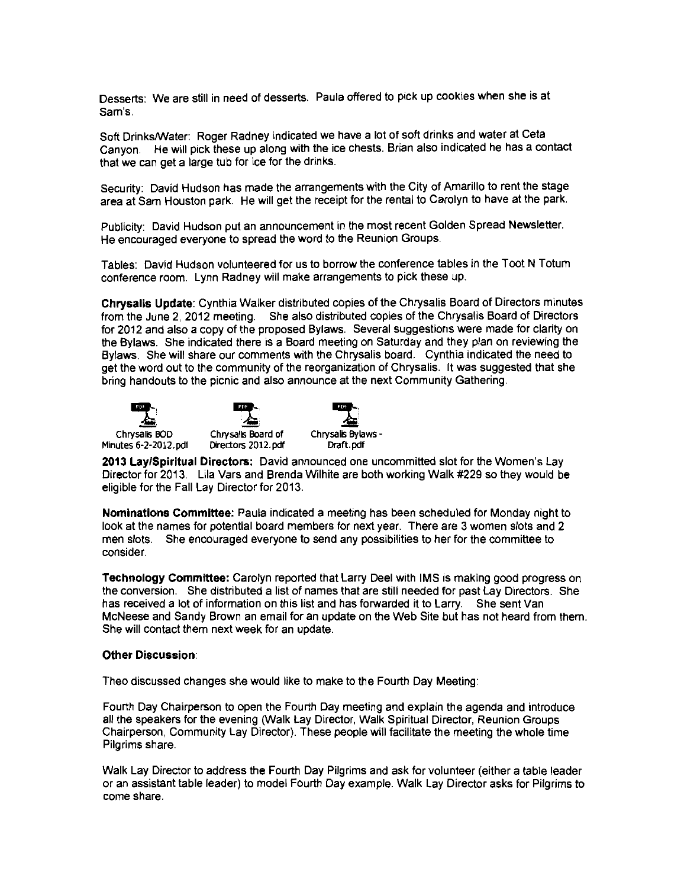Desserts: We are still in need of desserts. Paula offered to pick up cookies when she is at Sam's.

Soft DrinkslWater: Roger Radney indicated we have a lot of soft drinks and water at Ceta Canyon. He will pick these up along with the ice chests. Brian also indicated he has a contact that we can get a large tub for ice for the drinks.

Security: David Hudson has made the arrangements with the City of Amarillo to rent the stage area at Sam Houston park. He will get the receipt for the rental to Carolyn to have at the park.

PUblicity: David Hudson put an announcement in the most recent Golden Spread Newsletter. He encouraged everyone to spread the word to the Reunion Groups.

Tables: David HUdson volunteered for us to borrow the conference tables in the Toot N Totum conference room. Lynn Radney will make arrangements to pick these up.

**Chrysalis Update:** Cynthia Walker distributed copies of the Chrysalis Board of Directors minutes from the June 2, 2012 meeting. She also distributed copies of the Chrysalis Board of Directors for 2012 and also a copy of the proposed Bylaws. Several suggestions were made for clarity on the Bylaws. She indicated there is a Board meeting on Saturday and they plan on revieWing the Bylaws. She will share our comments with the Chrysalis board. Cynthia indicated the need to get the word out to the community of the reorganization of Chrysalis. It was suggested that she bring handouts to the picnic and also announce at the next Community Gathering.



Minutes 6-2-2012. pdf





**2013 Lay/Spiritual Directors:** David announced one uncommitted slot for the Women's Lay Director for 2013. Lila Vars and Brenda Wilhite are both working Walk #229 so they would be eligible for the Fall Lay Director for 2013.

**Nominations Committee:** Paula indicated a meeting has been scheduled for Monday night to look at the names for potential board members for next year. There are 3 women slots and 2 men slots. She encouraged everyone to send any possibilities to her for the committee to consider.

**Technology Committee:** Carolyn reported that Larry Deel with IMS is making good progress on the conversion. She distributed a list of names that are still needed for past Lay Directors. She has received a lot of information on this list and has forwarded it to Larry. She sent Van McNeese and Sandy Brown an email for an update on the Web Site but has not heard from them. She will contact them next week for an update.

#### **Other Discussion:**

Theo discussed changes she would like to make to the Fourth Day Meeting:

Fourth Day Chairperson to open the Fourth Day meeting and explain the agenda and introduce all the speakers for the evening (Walk Lay Director, Walk Spiritual Director, Reunion Groups Chairperson, Community Lay Director). These people will facilitate the meeting the whole time Pilgrims share.

Walk Lay Director to address the Fourth Day Pilgrims and ask for volunteer (either a table leader or an assistant table leader) to model Fourth Day example. Walk Lay Director asks for Pilgrims to come share.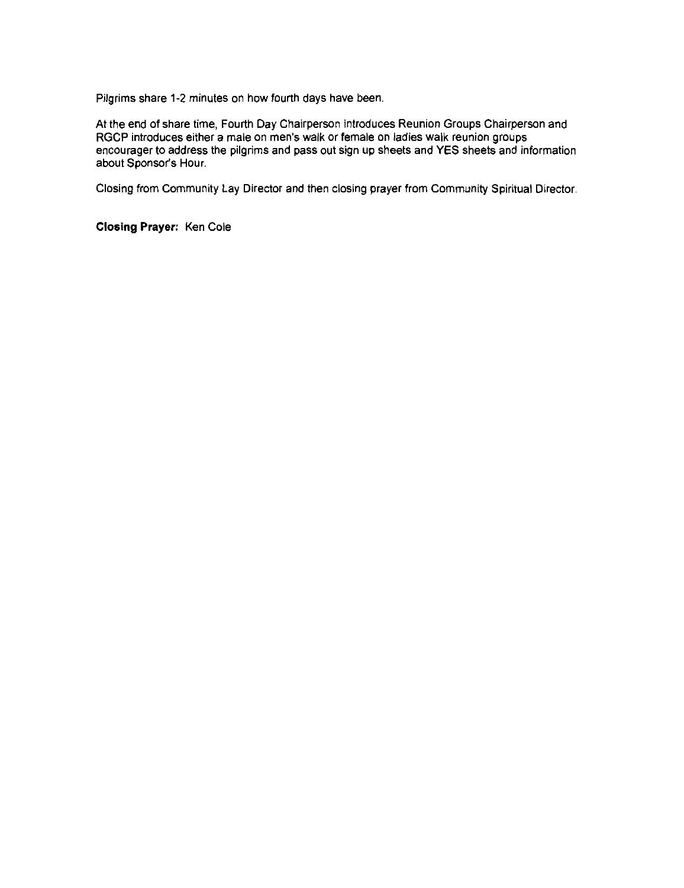Pilgrims share 1-2 minutes on how fourth days have been.

At the end of share time, Fourth Day Chairperson introduces Reunion Groups Chairperson and RGCP introduces either a male on men's walk or female on ladies walk reunion groups encourager to address the pilgrims and pass out sign up sheets and YES sheets and information about Sponsor's Hour.

Closing from Community Lay Director and then closing prayer from Community Spiritual Director.

**Closing Prayer:** Ken Cole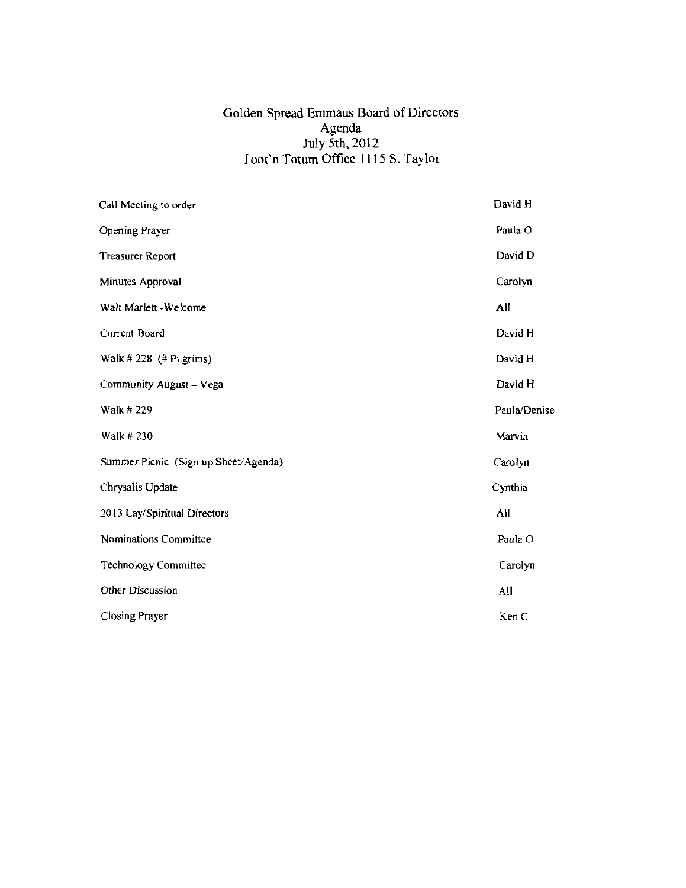#### Golden Spread Emmaus Board of Directors Agenda July 5th, 2012 Toot'n Totum Office 1115 S. Taylor

| Call Meeting to order                | David H      |
|--------------------------------------|--------------|
| <b>Opening Prayer</b>                | Paula O      |
| <b>Treasurer Report</b>              | David D      |
| Minutes Approval                     | Carolyn      |
| Walt Marlett - Welcome               | All          |
| Current Board                        | David H      |
| Walk $\#$ 228 ( $\#$ Pilgrims)       | David H      |
| Community August - Vega              | David H      |
| Walk # 229                           | Paula/Denise |
| Walk #230                            | Marvin       |
| Summer Picnic (Sign up Sheet/Agenda) | Carolyn      |
| Chrysalis Update                     | Cynthia      |
| 2013 Lay/Spiritual Directors         | All          |
| Nominations Committee                | Paula O      |
| Technology Committee                 | Carolyn      |
| Other Discussion                     | All          |
| Closing Prayer                       | Ken C        |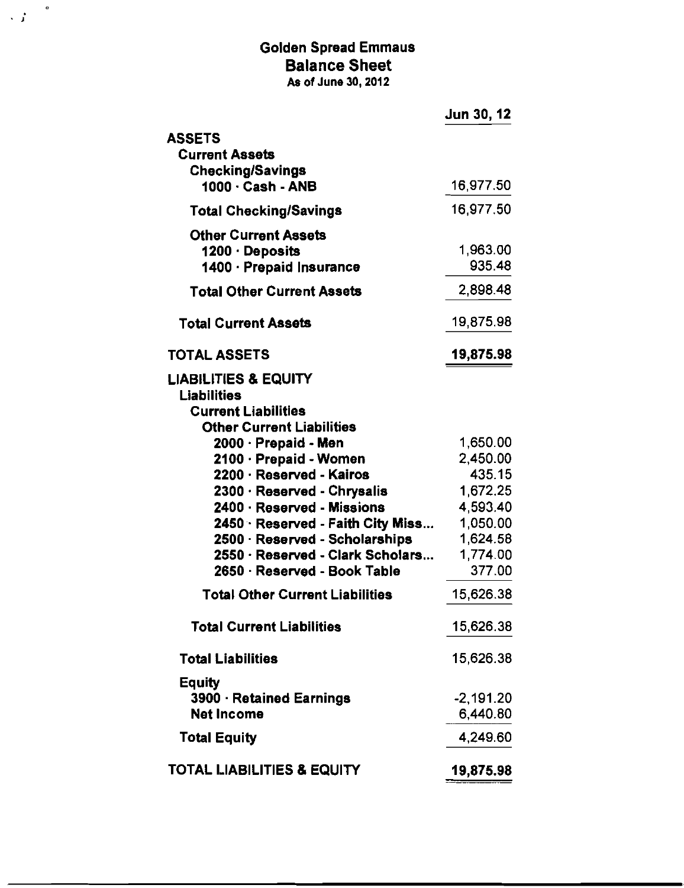## Golden Spread Emmaus Balance Sheet As of June 30, 2012

,  $\int_{0}^{\frac{\pi}{2}}$ 

|                                                       | Jun 30, 12  |
|-------------------------------------------------------|-------------|
| <b>ASSETS</b>                                         |             |
| <b>Current Assets</b>                                 |             |
| <b>Checking/Savings</b>                               |             |
| 1000 · Cash - ANB                                     | 16,977.50   |
| <b>Total Checking/Savings</b>                         | 16,977.50   |
| <b>Other Current Assets</b>                           |             |
| 1200 · Deposits                                       | 1,963.00    |
| 1400 · Prepaid Insurance                              | 935.48      |
| <b>Total Other Current Assets</b>                     | 2,898.48    |
| <b>Total Current Assets</b>                           | 19,875.98   |
| <b>TOTAL ASSETS</b>                                   | 19,875.98   |
|                                                       |             |
| <b>LIABILITIES &amp; EQUITY</b><br><b>Liabilities</b> |             |
| <b>Current Liabilities</b>                            |             |
| <b>Other Current Liabilities</b>                      |             |
| 2000 · Prepaid - Men                                  | 1,650.00    |
| 2100 · Prepaid - Women                                | 2,450.00    |
| 2200 · Reserved - Kairos                              | 435.15      |
| 2300 · Reserved - Chrysalis                           | 1,672.25    |
| 2400 · Reserved - Missions                            | 4,593.40    |
| 2450 · Reserved - Faith City Miss                     | 1,050.00    |
| 2500 · Reserved - Scholarships                        | 1,624.58    |
| 2550 · Reserved - Clark Scholars                      | 1,774.00    |
| 2650 · Reserved - Book Table                          | 377.00      |
| <b>Total Other Current Liabilities</b>                | 15,626.38   |
| <b>Total Current Liabilities</b>                      | 15,626.38   |
| <b>Total Liabilities</b>                              | 15,626.38   |
| Equity                                                |             |
| 3900 · Retained Earnings                              | $-2,191.20$ |
| <b>Net Income</b>                                     | 6,440.80    |
| <b>Total Equity</b>                                   | 4,249.60    |
| <b>TOTAL LIABILITIES &amp; EQUITY</b>                 | 19,875.98   |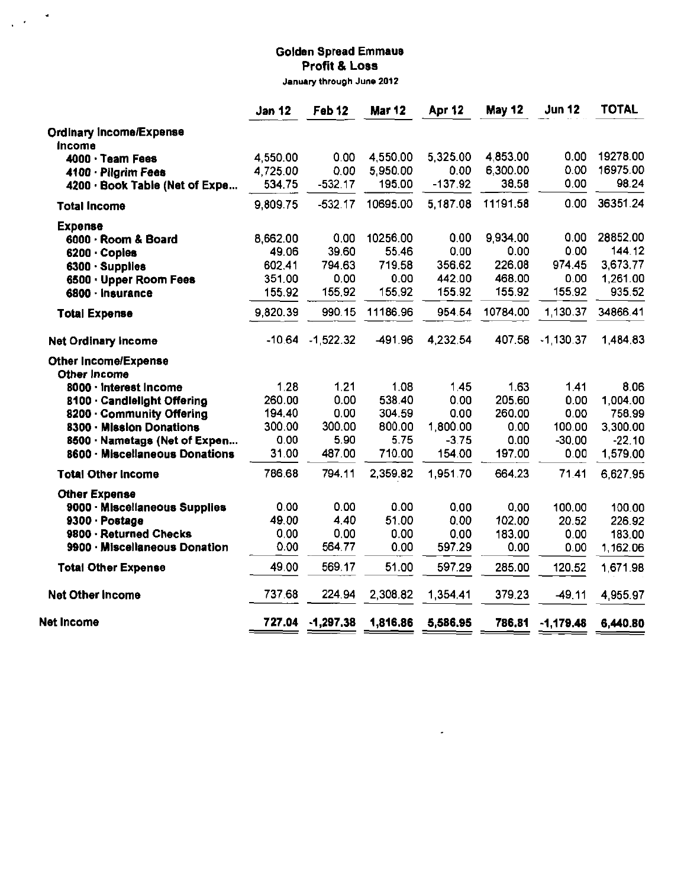# **Golden Spread Emmeus Profit & Loss**

 $\frac{1}{2}$  ,  $\frac{1}{2}$  ,  $\frac{1}{2}$ 

**January through June 2012** 

|                                                       | <b>Jan 12</b>        | Feb 12      | <b>Mar 12</b> | <b>Apr 12</b> | <b>May 12</b> | <b>Jun 12</b> | <b>TOTAL</b> |
|-------------------------------------------------------|----------------------|-------------|---------------|---------------|---------------|---------------|--------------|
| <b>Ordinary Income/Expense</b>                        |                      |             |               |               |               |               |              |
| Income                                                |                      | 0.00        | 4,550.00      | 5,325.00      | 4,853.00      | 0.00          | 19278.00     |
| 4000 · Team Fees                                      | 4.550.00<br>4.725.00 | 0.00        | 5,950.00      | 0.00          | 6,300.00      | 0.00          | 16975.00     |
| 4100 · Pilgrim Fees<br>4200 · Book Table (Net of Expe | 534.75               | $-532.17$   | 195,00        | $-137.92$     | 38.58         | 0.00          | 98.24        |
|                                                       |                      |             |               |               |               |               |              |
| <b>Total Income</b>                                   | 9,809.75             | $-532.17$   | 10695.00      | 5,187.08      | 11191.58      | 0.00          | 36351.24     |
| <b>Expense</b>                                        |                      |             |               |               |               |               |              |
| 6000 · Room & Board                                   | 8,662.00             | 0.00        | 10256.00      | 0.00          | 9,934.00      | 0.00          | 28852.00     |
| 6200 Copies                                           | 49.06                | 39.60       | 55.46         | 0.00          | 0.00          | 0.00          | 144.12       |
| 6300 Supplies                                         | 602.41               | 794.63      | 719.58        | 356.62        | 226.08        | 974.45        | 3,673.77     |
| 6500 · Upper Room Fees                                | 351.00               | 0.00        | 0.00          | 442.00        | 468.00        | 0,00          | 1,261.00     |
| 6800 - Insurance                                      | 155.92               | 155.92      | 155,92        | 155.92        | 155.92        | 155.92        | 935.52       |
| <b>Total Expense</b>                                  | 9,820.39             | 990.15      | 11186.96      | 954.54        | 10784.00      | 1,130.37      | 34866.41     |
| <b>Net Ordinary Income</b>                            | $-10.64$             | $-1,522.32$ | -491.96       | 4,232.54      | 407.58        | $-1$ 130.37   | 1,484.83     |
| <b>Other Income/Expense</b>                           |                      |             |               |               |               |               |              |
| Other Income                                          |                      |             |               |               |               |               |              |
| 8000 · Interest Income                                | 1.28                 | 1.21        | 1.08          | 145           | 1.63          | 1.41          | 8.06         |
| 8100 Candlelight Offering                             | 260.00               | 0.00        | 538.40        | 0.00          | 205.60        | 0.00          | 1,004.00     |
| 8200 Community Offering                               | 194.40               | 0.00        | 304.59        | 0.00          | 260.00        | 0.00          | 758.99       |
| 8300 Mission Donations                                | 300.00               | 300.00      | 800,00        | 1,800.00      | 0.00          | 100.00        | 3,300.00     |
| 8500 · Nametags (Net of Expen                         | 0.00                 | 5 9 0       | 5.75          | $-3.75$       | 0.00          | $-30.00$      | $-22.10$     |
| 8600 · Miscellaneous Donations                        | 31.00                | 487.00      | 710.00        | 154.00        | 197.00        | 0.00          | 1,579.00     |
| <b>Total Other Income</b>                             | 786.68               | 794 11      | 2,359.82      | 1,951.70      | 664.23        | 7141          | 6,627.95     |
| <b>Other Expense</b>                                  |                      |             |               |               |               |               |              |
| 9000 · Miscellaneous Supplies                         | 0.00                 | 0.00        | 0.00          | 0.00          | 0.00          | 100.00        | 100.00       |
| 9300 Postage                                          | 49.00                | 4.40        | 51.00         | 0.00          | 102.00        | 20.52         | 226.92       |
| 9800 · Returned Checks                                | 0.00                 | 0.00        | 0.00          | 0.00          | 183.00        | 0.00          | 183.00       |
| 9900 · Miscellaneous Donation                         | 0.00                 | 564.77      | 0.00          | 597.29        | 0.00          | 0.00          | 1,162.06     |
| <b>Total Other Expense</b>                            | 49.00                | 569.17      | 51.00         | 597.29        | 285.00        | 120.52        | 1,671.98     |
| <b>Net Other Income</b>                               | 737.68               | 224.94      | 2,308.82      | 1,354.41      | 379.23        | $-49.11$      | 4,955.97     |
| <b>Net Income</b>                                     | 727.04               | $-1,297.38$ | 1,816.86      | 5,586.95      | 786,81        | $-1,179.48$   | 6,440.80     |

 $\mathcal{A}$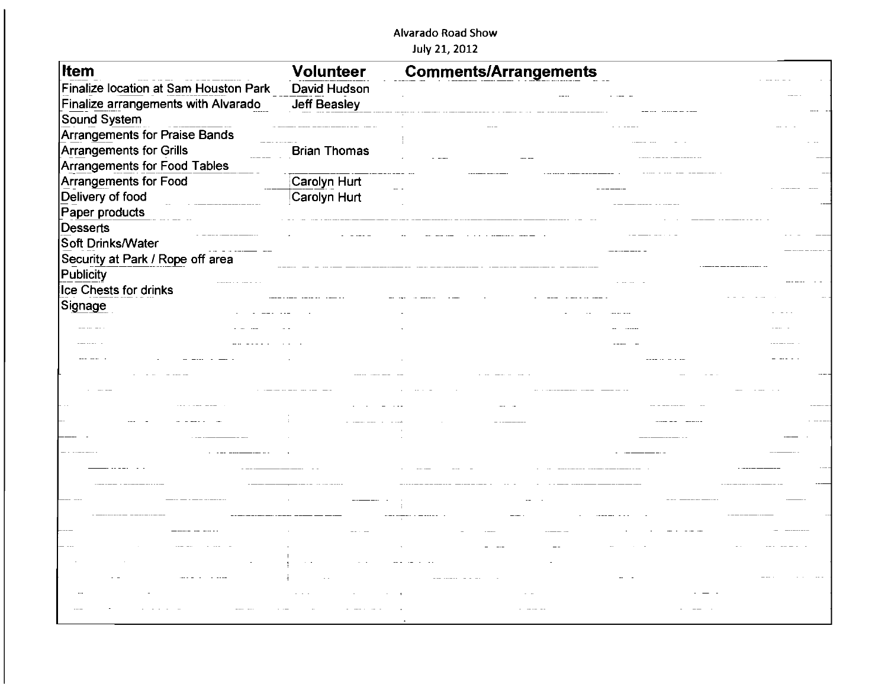#### Alvarado Road Show

July 21, 2012

| <b>Item</b>                           | <b>Volunteer</b>    | <b>Comments/Arrangements</b> |  |  |
|---------------------------------------|---------------------|------------------------------|--|--|
| Finalize location at Sam Houston Park | David Hudson        |                              |  |  |
| Finalize arrangements with Alvarado   | <b>Jeff Beasley</b> |                              |  |  |
| Sound System                          |                     |                              |  |  |
| Arrangements for Praise Bands         |                     |                              |  |  |
| Arrangements for Grills               | <b>Brian Thomas</b> |                              |  |  |
| Arrangements for Food Tables          |                     |                              |  |  |
| Arrangements for Food                 | Carolyn Hurt        |                              |  |  |
| Delivery of food                      | Carolyn Hurt        |                              |  |  |
| Paper products                        |                     |                              |  |  |
| Desserts                              |                     |                              |  |  |
| Soft Drinks/Water                     |                     |                              |  |  |
| Security at Park / Rope off area      |                     |                              |  |  |
| Publicity                             |                     |                              |  |  |
| Ice Chests for drinks                 |                     |                              |  |  |
| Signage                               |                     |                              |  |  |
|                                       |                     |                              |  |  |
|                                       |                     |                              |  |  |
|                                       |                     |                              |  |  |
|                                       |                     |                              |  |  |
|                                       |                     |                              |  |  |
|                                       |                     |                              |  |  |
|                                       |                     |                              |  |  |
|                                       |                     |                              |  |  |
|                                       |                     |                              |  |  |
|                                       |                     |                              |  |  |
|                                       |                     |                              |  |  |
|                                       |                     |                              |  |  |
|                                       |                     |                              |  |  |
|                                       |                     |                              |  |  |
|                                       |                     |                              |  |  |
|                                       |                     |                              |  |  |
|                                       |                     |                              |  |  |
|                                       |                     |                              |  |  |
|                                       |                     |                              |  |  |
|                                       |                     |                              |  |  |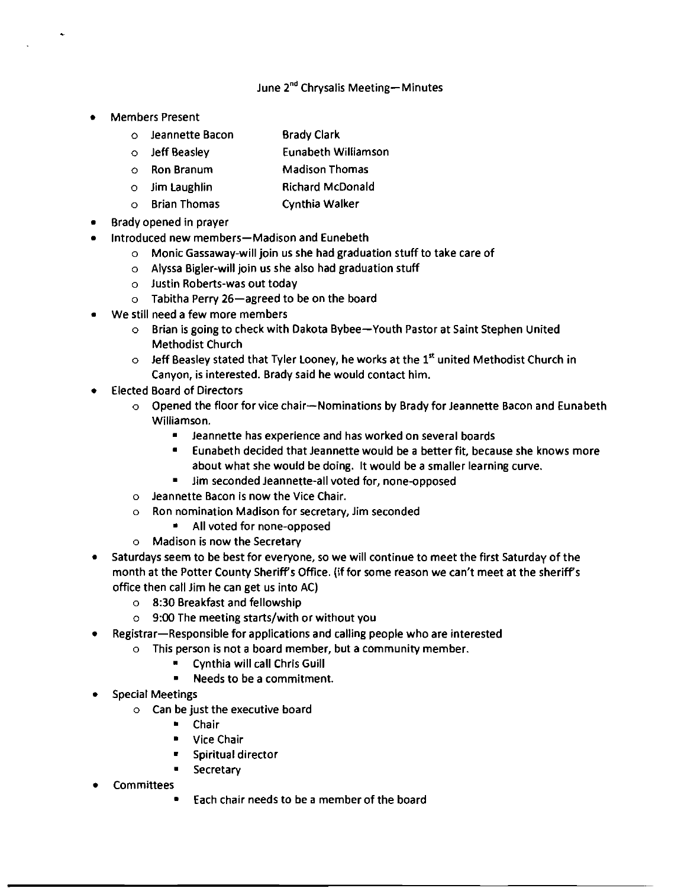#### June 2<sup>nd</sup> Chrysalis Meeting-Minutes

- **Members Present** 
	- o Jeannette Bacon Brady Clark
	- o Jeff Beasley Eunabeth Williamson
	- o Ron Branum Madison Thomas
	- o Jim Laughlin Richard McDonald
	- o Brian Thomas Cynthia Walker
- Brady opened in prayer
- Introduced new members-Madison and Eunebeth
	- $\circ$  Monic Gassaway-will join us she had graduation stuff to take care of
	- o Alyssa Bigler-will join us she also had graduation stuff
	- $\circ$  Justin Roberts-was out today
	- $\circ$  Tabitha Perry 26-agreed to be on the board
- We still need a few more members
	- o Brian is going to check with Dakota Bybee-Youth Pastor at Saint Stephen United Methodist Church
	- $\circ$  Jeff Beasley stated that Tyler Looney, he works at the 1st united Methodist Church in Canyon, is interested. Brady said he would contact him.
- **Elected Board of Directors** 
	- o Opened the floor for vice chair-Nominations by Brady for Jeannette Bacon and Eunabeth Williamson.
		- $\blacksquare$  Jeannette has experience and has worked on several boards
		- $\blacksquare$  Eunabeth decided that Jeannette would be a better fit, because she knows more about what she would be doing. It would be a smaller learning curve.
		- Jim seconded Jeannette-all voted for, none-opposed
	- $\circ$  Jeannette Bacon is now the Vice Chair.
	- o Ron nomination Madison for secretary, Jim seconded
		- $\blacksquare$  All voted for none-opposed
	- o Madison is now the Secretary
- Saturdays seem to be best for everyone, so we will continue to meet the first Saturday of the month at the Potter County Sheriffs Office. (if for some reason we can't meet at the sheriffs office then call Jim he can get us into AC)
	- o 8:30 Breakfast and fellowship
	- o 9:00 The meeting starts/with or without you
- Registrar-Responsible for applications and calling people who are interested
	- $\circ$  This person is not a board member, but a community member.
		- $\blacksquare$  Cynthia will call Chris Guill
			- $\blacksquare$  Needs to be a commitment.
- **Special Meetings** 
	- $\circ$  Can be just the executive board
		- $\blacksquare$  Chair
		- **D** Vice Chair
		- $\blacksquare$  Spiritual director
		- Secretary
- **Committees** 
	- Each chair needs to be a member of the board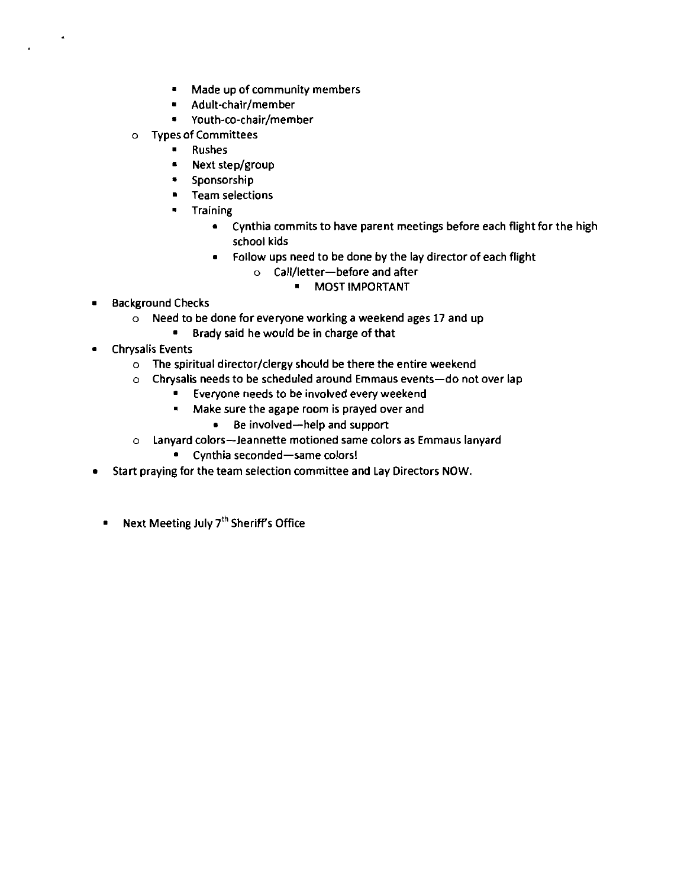- • Made up of community members
- • Adult-chair/member
- • Youth-co-chair/member
- o Types of Committees
	- • Rushes
	- • Next step/group
	- • Sponsorship
	- **•** Team selections
	- • Training
		- • Cynthia commits to have parent meetings before each flight for the high school kids
		- • Follow ups need to be done by the lay director of each flight
			- o Call/letter-before and after
				- MOST IMPORTANT
- • Background Checks
	- o Need to be done for everyone working a weekend ages 17 and up
		- • Brady said he would be in charge of that
- • Chrysalis Events
	- $\circ$  The spiritual director/clergy should be there the entire weekend
	- o Chrysalis needs to be scheduled around Emmaus events-do not over lap
		- • Everyone needs to be involved every weekend
		- • Make sure the agape room is prayed over and
			- • Be involved-help and support
	- o Lanyard colors--Jeannette motioned same colors as Emmaus lanyard
		- Cynthia seconded-same colors!
- Start praying for the team selection committee and Lay Directors NOW.
	- • Next Meeting July 7'h Sheriff's Office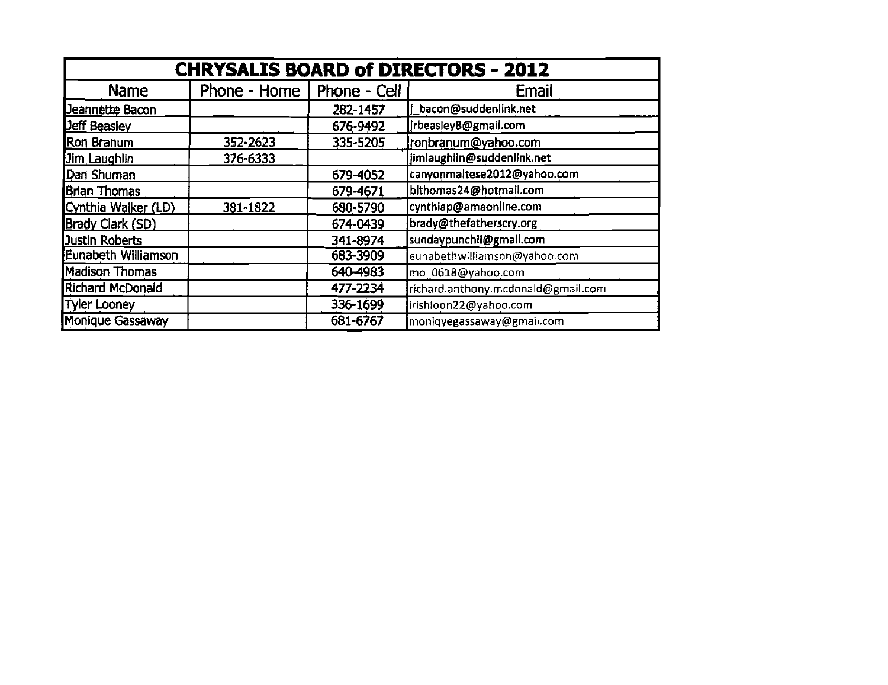|                         |              |              | <b>CHRYSALIS BOARD of DIRECTORS - 2012</b> |
|-------------------------|--------------|--------------|--------------------------------------------|
| Name                    | Phone - Home | Phone - Cell | Email                                      |
| Jeannette Bacon         |              | 282-1457     | bacon@suddenlink.net                       |
| <b>Jeff Beasley</b>     |              | 676-9492     | jrbeasley8@gmail.com                       |
| Ron Branum              | 352-2623     | 335-5205     | ronbranum@yahoo.com                        |
| Jim Laughlin            | 376-6333     |              | jimlaughlin@suddenlink.net                 |
| Dan Shuman              |              | 679-4052     | canyonmaltese2012@yahoo.com                |
| Brian Thomas            |              | 679-4671     | bithomas24@hotmail.com                     |
| Cynthia Walker (LD)     | 381-1822     | 680-5790     | cynthiap@amaonline.com                     |
| <b>Brady Clark (SD)</b> |              | 674-0439     | brady@thefatherscry.org                    |
| Justin Roberts          |              | 341-8974     | sundaypunchii@gmail.com                    |
| Eunabeth Williamson     |              | 683-3909     | eunabethwilliamson@yahoo.com               |
| Madison Thomas          |              | 640-4983     | mo_0618@yahoo.com                          |
| Richard McDonald        |              | 477-2234     | richard.anthony.mcdonald@gmail.com         |
| Tyler Looney            |              | 336-1699     | irishloon22@yahoo.com                      |
| Monique Gassaway        |              | 681-6767     | moniqyegassaway@gmail.com                  |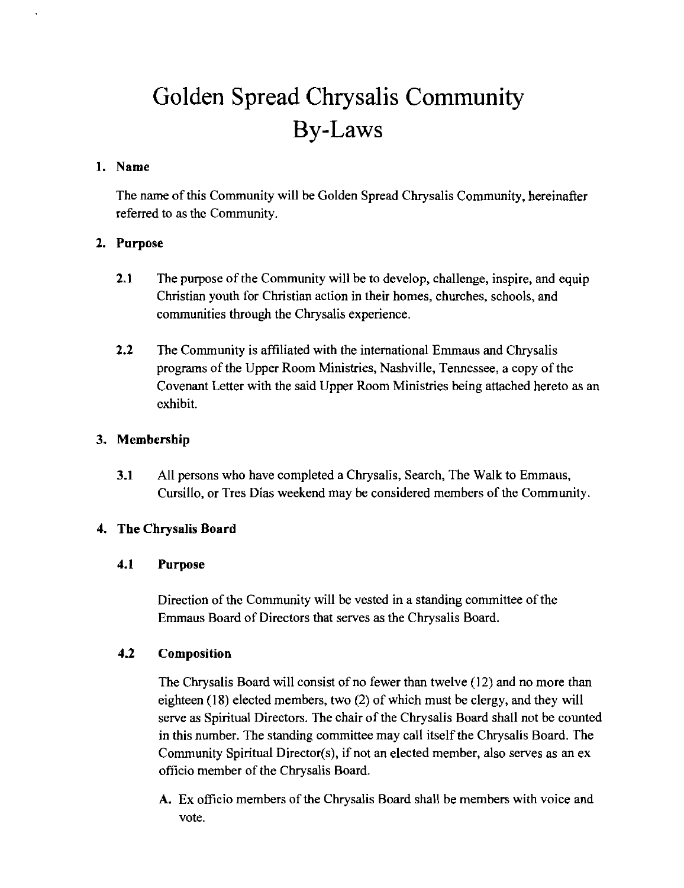# Golden Spread Chrysalis Community By-Laws

#### 1. Name

The name of this Community will be Golden Spread Chrysalis Community, hereinafter referred to as the Community.

## 2. Purpose

- 2.1 The purpose of the Community will be to develop, challenge, inspire, and equip Christian youth for Christian action in their homes, churches, schools, and communities through the Chrysalis experience.
- 2.2 The Community is affiliated with the international Emmaus and Chrysalis programs of the Upper Room Ministries, Nashville, Tennessee, a copy of the Covenant Letter with the said Upper Room Ministries being attached hereto as an exhibit.

### 3. Membership

**3.1** All persons who have completed a Chrysalis, Search, The Walk to Emmaus, Cursillo, or Tres Dias weekend may be considered members of the Community.

#### 4. The Chrysalis Board

#### 4.1 Purpose

Direction of the Community will be vested in a standing committee of the Emmaus Board of Directors that serves as the Chrysalis Board.

#### 4.2 Composition

The Chrysalis Board will consist of no fewer than twelve (12) and no more than eighteen (18) elected members, two (2) of which must be clergy, and they will serve as Spiritual Directors. The chair of the Chrysalis Board shall not be counted in this number. The standing committee may call itself the Chrysalis Board. The Community Spiritual Director(s), if not an elected member, also serves as an ex officio member of the Chrysalis Board.

A. Ex officio members of the Chrysalis Board shall be members with voice and vote.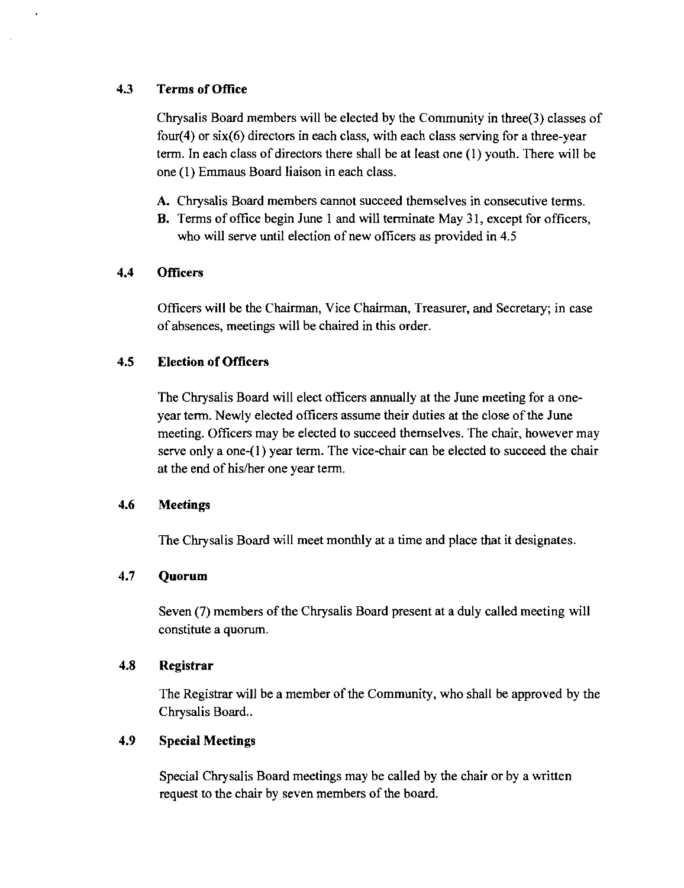#### 4.3 Terms of Office

Chrysalis Board members will be elected by the Community in three(3) classes of four(4) or  $six(6)$  directors in each class, with each class serving for a three-year term. In each class of directors there shall be at least one (1) youth. There will be one (1) Emmaus Board liaison in each class.

- A. Chrysalis Board members cannot succeed themselves in consecutive terms.
- **B.** Terms of office begin June 1 and will terminate May 31, except for officers, who will serve until election of new officers as provided in 4.5

#### **4.4** Officers

Officers will be the Chairman, Vice Chairman, Treasurer, and Secretary; in case of absences, meetings will be chaired in this order.

#### 4.5 Election of Officers

The Chrysalis Board will elect officers annually at the June meeting for a oneyear term. Newly elected officers assume their duties at the close of the June meeting. Officers may be elected to succeed themselves. The chair, however may serve only a one-(l) year term. The vice-chair can be elected to succeed the chair at the end of his/her one year term.

#### 4.6 Meetings

The Chrysalis Board will meet monthly at a time and place that it designates.

#### 4.7 **Quorum**

Seven (7) members of the Chrysalis Board present at a duly called meeting will constitute a quorum.

#### 4.8 Registrar

The Registrar will be a member of the Community, who shall be approved by the Chrysalis Board..

#### 4.9 Special Meetings

Special Chrysalis Board meetings may be called by the chair or by a written request to the chair by seven members of the board.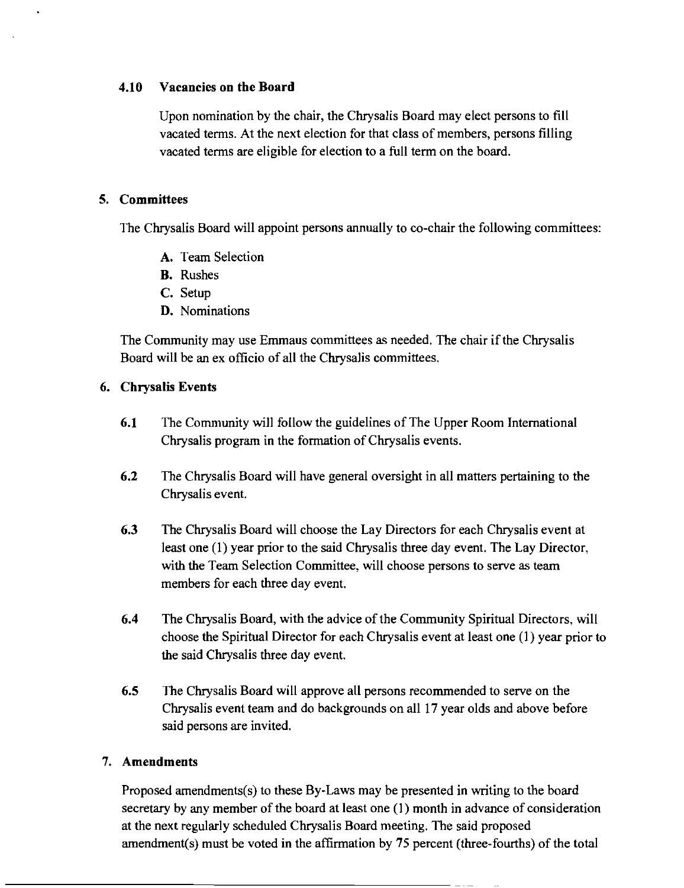#### 4.10 Vacancies on the Board

Upon nomination by the chair, the Chrysalis Board may elect persons to fill vacated terms. At the next election for that class of members, persons filling vacated terms are eligible for election to a full term on the board.

#### S. Committees

The Chrysalis Board will appoint persons annually to co-chair the following committees:

- A. Team Selection
- B. Rushes
- C. Setup
- D. Nominations

The Community may use Emmaus committees as needed. The chair if the Chrysalis Board will be an ex officio of all the Chrysalis committees.

#### 6. Chrysalis Events

- 6.1 The Community will follow the guidelines of The Upper Room International Chrysalis program in the formation of Chrysalis events.
- 6.2 The Chrysalis Board will have general oversight in all matters pertaining to the Chrysalis event.
- 6.3 The Chrysalis Board will choose the Lay Directors for each Chrysalis event at least one (1) year prior to the said Chrysalis three day event. The Lay Director, with the Team Selection Committee, will choose persons to serve as team members for each three day event.
- 6.4 The Chrysalis Board, with the advice of the Community Spiritual Directors, will choose the Spiritual Director for each Chrysalis event at least one (1) year prior to the said Chrysalis three day event.
- 6.S The Chrysalis Board will approve all persons recommended to serve on the Chrysalis event team and do backgrounds on all 17 year olds and above before said persons are invited.

#### 7. Amendments

Proposed amendments(s) to these By-Laws may be presented in writing to the board secretary by any member of the board at least one (I) month in advance of consideration at the next regularly scheduled Chrysalis Board meeting. The said proposed amendment(s) must be voted in the affirmation by 75 percent (three-fourths) of the total